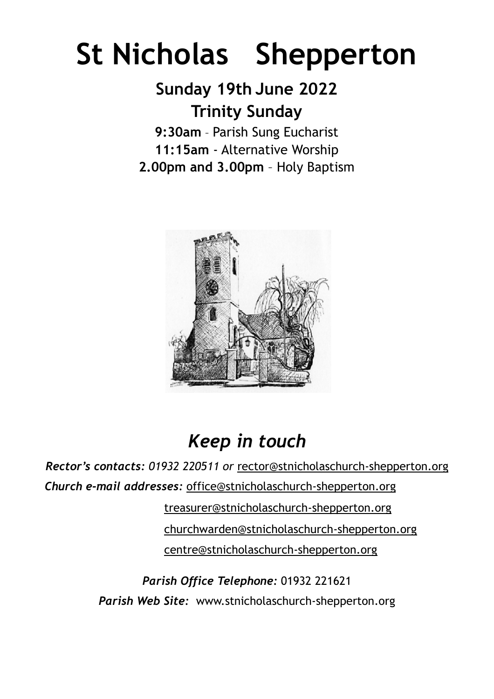# **St Nicholas Shepperton**

## **Sunday 19th June 2022 Trinity Sunday**

**9:30am** – Parish Sung Eucharist **11:15am** - Alternative Worship **2.00pm and 3.00pm** – Holy Baptism



# *Keep in touch*

*Rector's contacts: 01932 220511 or* rector@stnicholaschurch-shepperton.org *Church e-mail addresses:* [office@stnicholaschurch-shepperton.org](mailto:office@stnicholaschurch-shepperton.org)

> [treasurer@stnicholaschurch-shepperton.org](mailto:treasurer@stnicholaschurch-shepperton.org) [churchwarden@stnicholaschurch-shepperton.org](mailto:churchwarden@stnicholaschurch-shepperton.org) centre@stnicholaschurch-shepperton.org

*Parish Office Telephone:* 01932 221621 *Parish Web Site:* www.stnicholaschurch-shepperton.org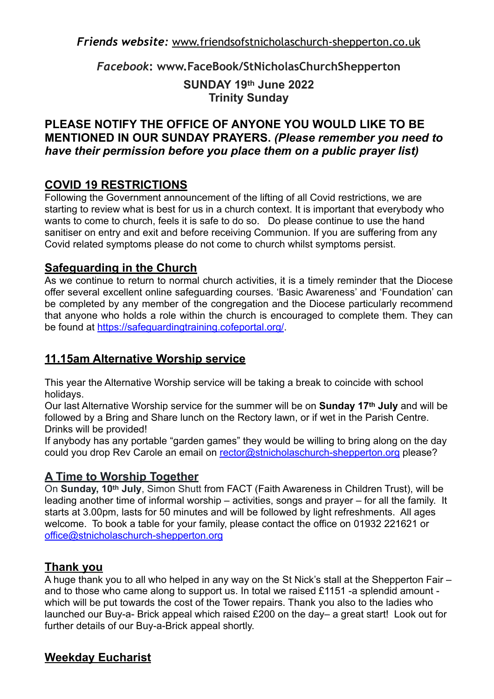*Friends website:* [www.friendsofstnicholaschurch-shepperton.co.uk](http://www.friendsofstnicholaschurch-Shepperton.co.uk)

*Facebook***: www.FaceBook/StNicholasChurchShepperton**

#### **SUNDAY 19th June 2022 Trinity Sunday**

#### **PLEASE NOTIFY THE OFFICE OF ANYONE YOU WOULD LIKE TO BE MENTIONED IN OUR SUNDAY PRAYERS.** *(Please remember you need to have their permission before you place them on a public prayer list)*

#### **COVID 19 RESTRICTIONS**

Following the Government announcement of the lifting of all Covid restrictions, we are starting to review what is best for us in a church context. It is important that everybody who wants to come to church, feels it is safe to do so. Do please continue to use the hand sanitiser on entry and exit and before receiving Communion. If you are suffering from any Covid related symptoms please do not come to church whilst symptoms persist.

#### **Safeguarding in the Church**

As we continue to return to normal church activities, it is a timely reminder that the Diocese offer several excellent online safeguarding courses. 'Basic Awareness' and 'Foundation' can be completed by any member of the congregation and the Diocese particularly recommend that anyone who holds a role within the church is encouraged to complete them. They can be found at<https://safeguardingtraining.cofeportal.org/>.

#### **11.15am Alternative Worship service**

This year the Alternative Worship service will be taking a break to coincide with school holidays.

Our last Alternative Worship service for the summer will be on **Sunday 17th July** and will be followed by a Bring and Share lunch on the Rectory lawn, or if wet in the Parish Centre. Drinks will be provided!

If anybody has any portable "garden games" they would be willing to bring along on the day could you drop Rev Carole an email on [rector@stnicholaschurch-shepperton.org](mailto:rector@stnicholaschurch-shepperton.org) please?

#### **A Time to Worship Together**

On **Sunday, 10th July**, Simon Shutt from FACT (Faith Awareness in Children Trust), will be leading another time of informal worship – activities, songs and prayer – for all the family. It starts at 3.00pm, lasts for 50 minutes and will be followed by light refreshments. All ages welcome. To book a table for your family, please contact the office on 01932 221621 or [office@stnicholaschurch-shepperton.org](mailto:office@stnicholaschurch-shepperton.org)

#### **Thank you**

A huge thank you to all who helped in any way on the St Nick's stall at the Shepperton Fair – and to those who came along to support us. In total we raised £1151 -a splendid amount which will be put towards the cost of the Tower repairs. Thank you also to the ladies who launched our Buy-a- Brick appeal which raised £200 on the day– a great start! Look out for further details of our Buy-a-Brick appeal shortly.

#### **Weekday Eucharist**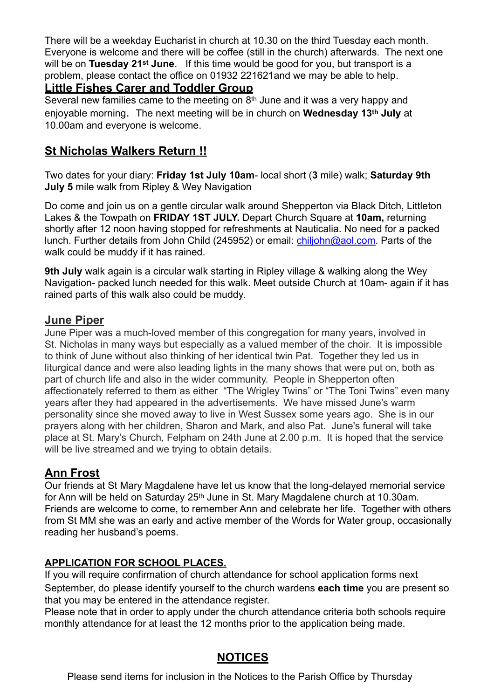There will be a weekday Eucharist in church at 10.30 on the third Tuesday each month. Everyone is welcome and there will be coffee (still in the church) afterwards. The next one will be on **Tuesday 21st June**. If this time would be good for you, but transport is a problem, please contact the office on 01932 221621and we may be able to help.

#### **Little Fishes Carer and Toddler Group**

Several new families came to the meeting on 8<sup>th</sup> June and it was a very happy and enjoyable morning. The next meeting will be in church on **Wednesday 13th July** at 10.00am and everyone is welcome.

#### **St Nicholas Walkers Return !!**

Two dates for your diary: **Friday 1st July 10am**- local short (**3** mile) walk; **Saturday 9th July 5** mile walk from Ripley & Wey Navigation

Do come and join us on a gentle circular walk around Shepperton via Black Ditch, Littleton Lakes & the Towpath on **FRIDAY 1ST JULY.** Depart Church Square at **10am,** returning shortly after 12 noon having stopped for refreshments at Nauticalia. No need for a packed lunch. Further details from John Child (245952) or email: [chiljohn@aol.com](mailto:chiljohn@aol.com). Parts of the walk could be muddy if it has rained.

**9th July** walk again is a circular walk starting in Ripley village & walking along the Wey Navigation- packed lunch needed for this walk. Meet outside Church at 10am- again if it has rained parts of this walk also could be muddy.

#### **June Piper**

June Piper was a much-loved member of this congregation for many years, involved in St. Nicholas in many ways but especially as a valued member of the choir. It is impossible to think of June without also thinking of her identical twin Pat. Together they led us in liturgical dance and were also leading lights in the many shows that were put on, both as part of church life and also in the wider community. People in Shepperton often affectionately referred to them as either "The Wrigley Twins" or "The Toni Twins" even many years after they had appeared in the advertisements. We have missed June's warm personality since she moved away to live in West Sussex some years ago. She is in our prayers along with her children, Sharon and Mark, and also Pat. June's funeral will take place at St. Mary's Church, Felpham on 24th June at 2.00 p.m. It is hoped that the service will be live streamed and we trying to obtain details.

#### **Ann Frost**

Our friends at St Mary Magdalene have let us know that the long-delayed memorial service for Ann will be held on Saturday 25<sup>th</sup> June in St. Mary Magdalene church at 10.30am. Friends are welcome to come, to remember Ann and celebrate her life. Together with others from St MM she was an early and active member of the Words for Water group, occasionally reading her husband's poems.

#### **APPLICATION FOR SCHOOL PLACES.**

If you will require confirmation of church attendance for school application forms next September, do please identify yourself to the church wardens **each time** you are present so that you may be entered in the attendance register.

Please note that in order to apply under the church attendance criteria both schools require monthly attendance for at least the 12 months prior to the application being made.

#### **NOTICES**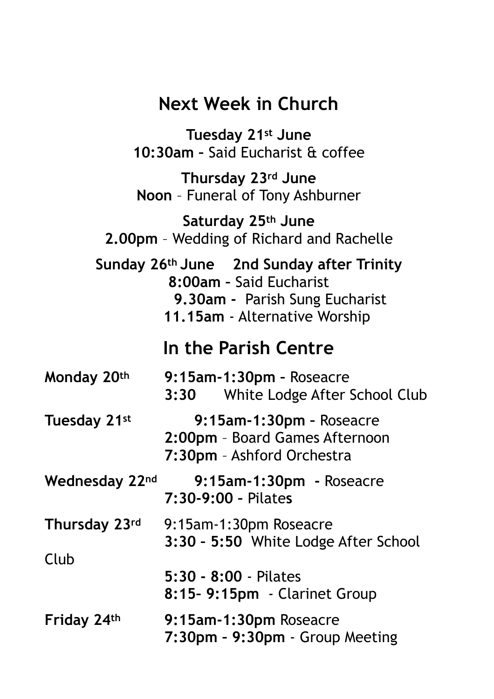## **Next Week in Church**

**Tuesday 21st June 10:30am –** Said Eucharist & coffee **Thursday 23rd June Noon** – Funeral of Tony Ashburner **Saturday 25th June 2.00pm** – Wedding of Richard and Rachelle **Sunday 26th June 2nd Sunday after Trinity 8:00am –** Said Eucharist  **9.30am -** Parish Sung Eucharist  **11.15am** - Alternative Worship **In the Parish Centre Monday 20th 9:15am-1:30pm –** Roseacre **3:30** White Lodge After School Club **Tuesday 21st 9:15am-1:30pm –** Roseacre **2:00pm** – Board Games Afternoon **7:30pm** – Ashford Orchestra **Wednesday 22nd 9:15am-1:30pm -** Roseacre **7:30-9:00 –** Pilate**s Thursday 23rd** 9:15am-1:30pm Roseacre **3:30 – 5:50** White Lodge After School Club **5:30 - 8:00** - Pilates **8:15– 9:15pm** - Clarinet Group **Friday 24th 9:15am-1:30pm** Roseacre **7:30pm – 9:30pm** - Group Meeting